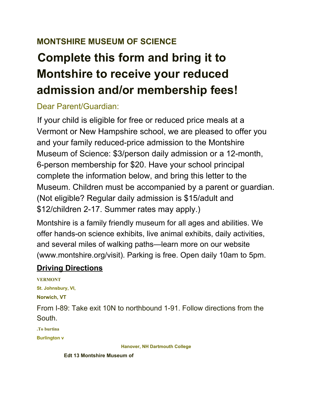## **MONTSHIRE MUSEUM OF SCIENCE**

# **Complete this form and bring it to Montshire to receive your reduced admission and/or membership fees!**

## Dear Parent/Guardian:

If your child is eligible for free or reduced price meals at a Vermont or New Hampshire school, we are pleased to offer you and your family reduced-price admission to the Montshire Museum of Science: \$3/person daily admission or a 12-month, 6-person membership for \$20. Have your school principal complete the information below, and bring this letter to the Museum. Children must be accompanied by a parent or guardian. (Not eligible? Regular daily admission is \$15/adult and \$12/children 2-17. Summer rates may apply.)

Montshire is a family friendly museum for all ages and abilities. We offer hands-on science exhibits, live animal exhibits, daily activities, and several miles of walking paths—learn more on our website (www.montshire.org/visit). Parking is free. Open daily 10am to 5pm.

### **Driving Directions**

**VERMONT St. Johnsbury, VI, Norwich, VT** From I-89: Take exit 10N to northbound 1-91. Follow directions from the South. **.To burtina Burlington v**

**Hanover, NH Dartmouth College**

**Edt 13 Montshire Museum of**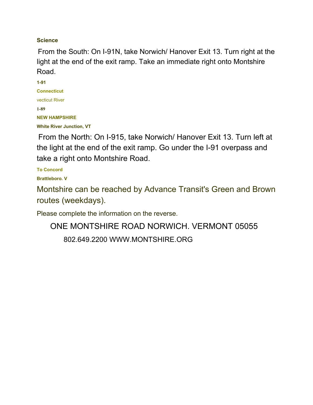#### **Science**

From the South: On I-91N, take Norwich/ Hanover Exit 13. Turn right at the light at the end of the exit ramp. Take an immediate right onto Montshire Road.

**1-91 Connecticut** vecticut River **1-89 NEW HAMPSHIRE White River Junction, VT**

From the North: On I-915, take Norwich/ Hanover Exit 13. Turn left at the light at the end of the exit ramp. Go under the I-91 overpass and take a right onto Montshire Road.

**To Concord**

**Brattleboro. V**

Montshire can be reached by Advance Transit's Green and Brown routes (weekdays).

Please complete the information on the reverse.

ONE MONTSHIRE ROAD NORWICH. VERMONT 05055 802.649.2200 WWW.MONTSHIRE.ORG